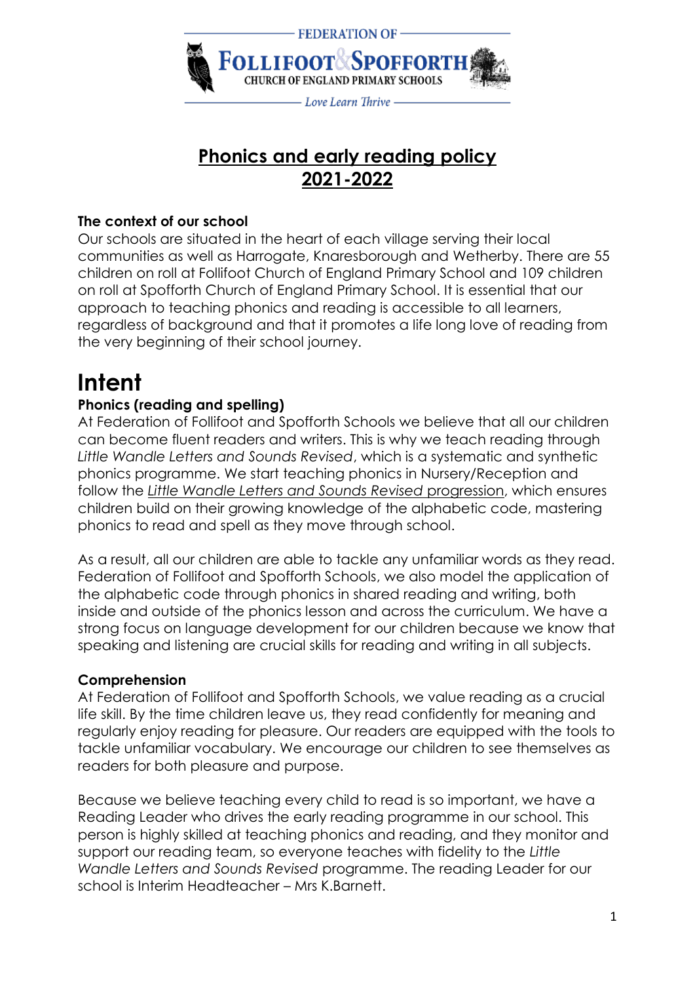

# **Phonics and early reading policy 2021-2022**

#### **The context of our school**

Our schools are situated in the heart of each village serving their local communities as well as Harrogate, Knaresborough and Wetherby. There are 55 children on roll at Follifoot Church of England Primary School and 109 children on roll at Spofforth Church of England Primary School. It is essential that our approach to teaching phonics and reading is accessible to all learners, regardless of background and that it promotes a life long love of reading from the very beginning of their school journey.

# **Intent**

#### **Phonics (reading and spelling)**

At Federation of Follifoot and Spofforth Schools we believe that all our children can become fluent readers and writers. This is why we teach reading through *Little Wandle Letters and Sounds Revised*, which is a systematic and synthetic phonics programme. We start teaching phonics in Nursery/Reception and follow the *[Little Wandle Letters and Sounds Revised](https://www.littlewandlelettersandsounds.org.uk/wp-content/uploads/2021/06/Programme-Overview_Reception-and-Year-1.pdf)* progression, which ensures children build on their growing knowledge of the alphabetic code, mastering phonics to read and spell as they move through school.

As a result, all our children are able to tackle any unfamiliar words as they read. Federation of Follifoot and Spofforth Schools, we also model the application of the alphabetic code through phonics in shared reading and writing, both inside and outside of the phonics lesson and across the curriculum. We have a strong focus on language development for our children because we know that speaking and listening are crucial skills for reading and writing in all subjects.

#### **Comprehension**

At Federation of Follifoot and Spofforth Schools, we value reading as a crucial life skill. By the time children leave us, they read confidently for meaning and regularly enjoy reading for pleasure. Our readers are equipped with the tools to tackle unfamiliar vocabulary. We encourage our children to see themselves as readers for both pleasure and purpose.

Because we believe teaching every child to read is so important, we have a Reading Leader who drives the early reading programme in our school. This person is highly skilled at teaching phonics and reading, and they monitor and support our reading team, so everyone teaches with fidelity to the *Little Wandle Letters and Sounds Revised* programme. The reading Leader for our school is Interim Headteacher – Mrs K.Barnett.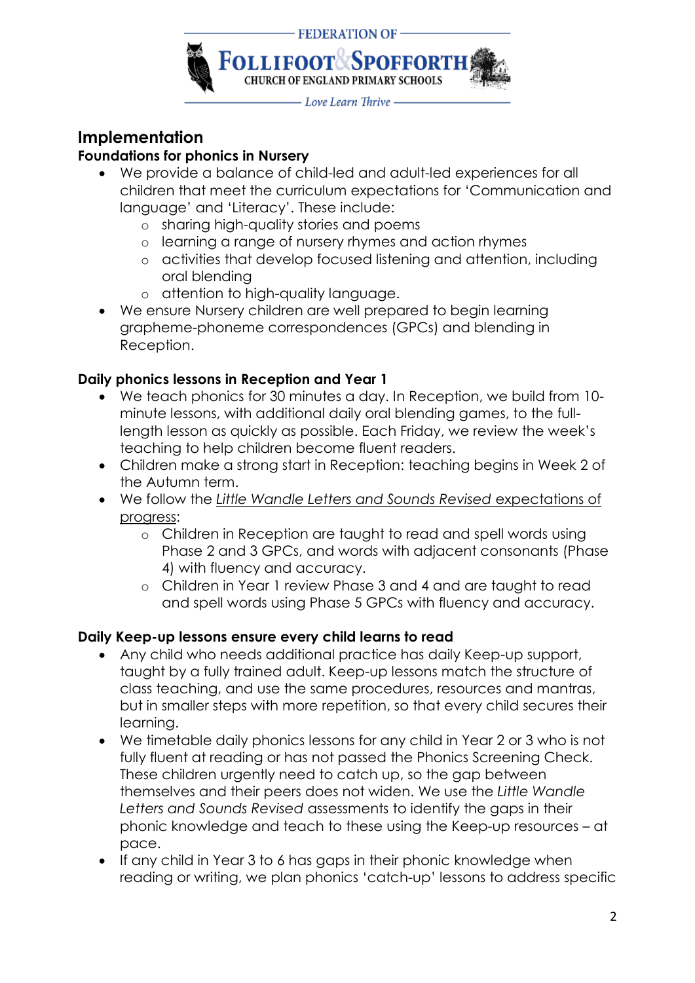

# **Implementation**

#### **Foundations for phonics in Nursery**

- We provide a balance of child-led and adult-led experiences for all children that meet the curriculum expectations for 'Communication and language' and 'Literacy'. These include:
	- o sharing high-quality stories and poems
	- o learning a range of nursery rhymes and action rhymes
	- o activities that develop focused listening and attention, including oral blending
	- o attention to high-quality language.
- We ensure Nursery children are well prepared to begin learning grapheme-phoneme correspondences (GPCs) and blending in Reception.

#### **Daily phonics lessons in Reception and Year 1**

- We teach phonics for 30 minutes a day. In Reception, we build from 10 minute lessons, with additional daily oral blending games, to the fulllength lesson as quickly as possible. Each Friday, we review the week's teaching to help children become fluent readers.
- Children make a strong start in Reception: teaching begins in Week 2 of the Autumn term.
- We follow the *[Little Wandle Letters and Sounds Revised](https://www.littlewandlelettersandsounds.org.uk/wp-content/uploads/2021/06/Programme-Overview_Reception-and-Year-1.pdf)* expectations of [progress:](https://www.littlewandlelettersandsounds.org.uk/wp-content/uploads/2021/06/Programme-Overview_Reception-and-Year-1.pdf)
	- o Children in Reception are taught to read and spell words using Phase 2 and 3 GPCs, and words with adjacent consonants (Phase 4) with fluency and accuracy.
	- o Children in Year 1 review Phase 3 and 4 and are taught to read and spell words using Phase 5 GPCs with fluency and accuracy.

#### **Daily Keep-up lessons ensure every child learns to read**

- Any child who needs additional practice has daily Keep-up support, taught by a fully trained adult. Keep-up lessons match the structure of class teaching, and use the same procedures, resources and mantras, but in smaller steps with more repetition, so that every child secures their learning.
- We timetable daily phonics lessons for any child in Year 2 or 3 who is not fully fluent at reading or has not passed the Phonics Screening Check. These children urgently need to catch up, so the gap between themselves and their peers does not widen. We use the *Little Wandle Letters and Sounds Revised* assessments to identify the gaps in their phonic knowledge and teach to these using the Keep-up resources – at pace.
- If any child in Year 3 to 6 has gaps in their phonic knowledge when reading or writing, we plan phonics 'catch-up' lessons to address specific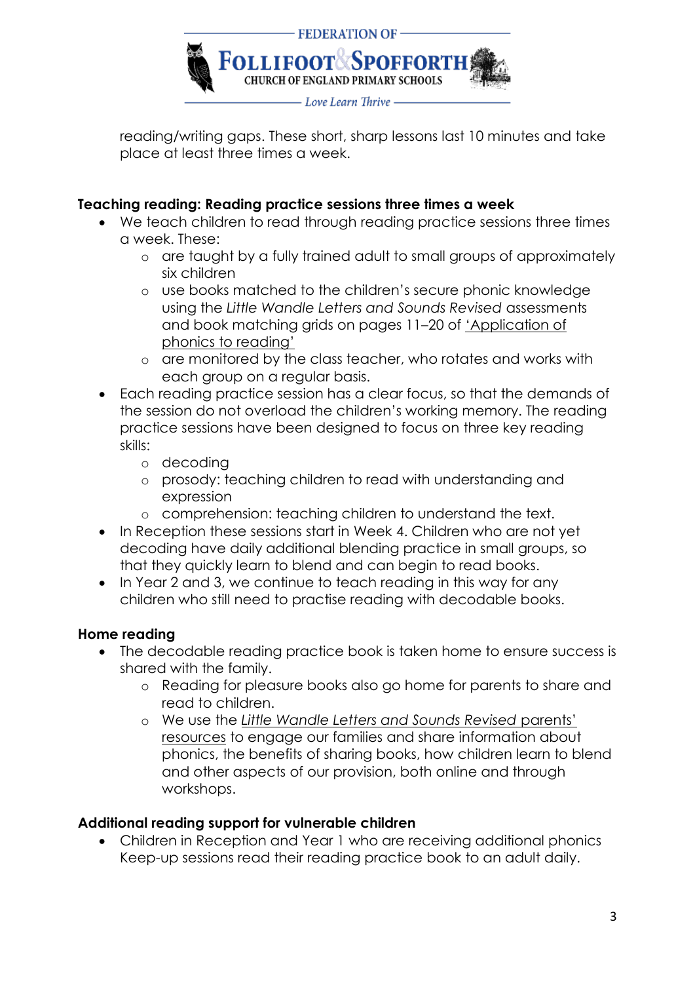

reading/writing gaps. These short, sharp lessons last 10 minutes and take place at least three times a week.

#### **Teaching reading: Reading practice sessions three times a week**

- We teach children to read through reading practice sessions three times a week. These:
	- o are taught by a fully trained adult to small groups of approximately six children
	- o use books matched to the children's secure phonic knowledge using the *Little Wandle Letters and Sounds Revised* assessments and book matching grids on pages 11–20 of ['Application of](https://www.littlewandlelettersandsounds.org.uk/wp-content/uploads/2021/03/LS-KEY-GUIDANCE-APPLICATION-OF-PHONICS-FINAL-1.pdf)  p[honics to reading'](https://www.littlewandlelettersandsounds.org.uk/wp-content/uploads/2021/03/LS-KEY-GUIDANCE-APPLICATION-OF-PHONICS-FINAL-1.pdf)
	- o are monitored by the class teacher, who rotates and works with each group on a regular basis.
- Each reading practice session has a clear focus, so that the demands of the session do not overload the children's working memory. The reading practice sessions have been designed to focus on three key reading skills:
	- o decoding
	- o prosody: teaching children to read with understanding and expression
	- o comprehension: teaching children to understand the text.
- In Reception these sessions start in Week 4. Children who are not yet decoding have daily additional blending practice in small groups, so that they quickly learn to blend and can begin to read books.
- In Year 2 and 3, we continue to teach reading in this way for any children who still need to practise reading with decodable books.

#### **Home reading**

- The decodable reading practice book is taken home to ensure success is shared with the family.
	- o Reading for pleasure books also go home for parents to share and read to children.
	- o We use the *[Little Wandle Letters and Sounds Revised](https://www.littlewandlelettersandsounds.org.uk/resources/for-parents/)* parents' [resources](https://www.littlewandlelettersandsounds.org.uk/resources/for-parents/) to engage our families and share information about phonics, the benefits of sharing books, how children learn to blend and other aspects of our provision, both online and through workshops.

#### **Additional reading support for vulnerable children**

• Children in Reception and Year 1 who are receiving additional phonics Keep-up sessions read their reading practice book to an adult daily.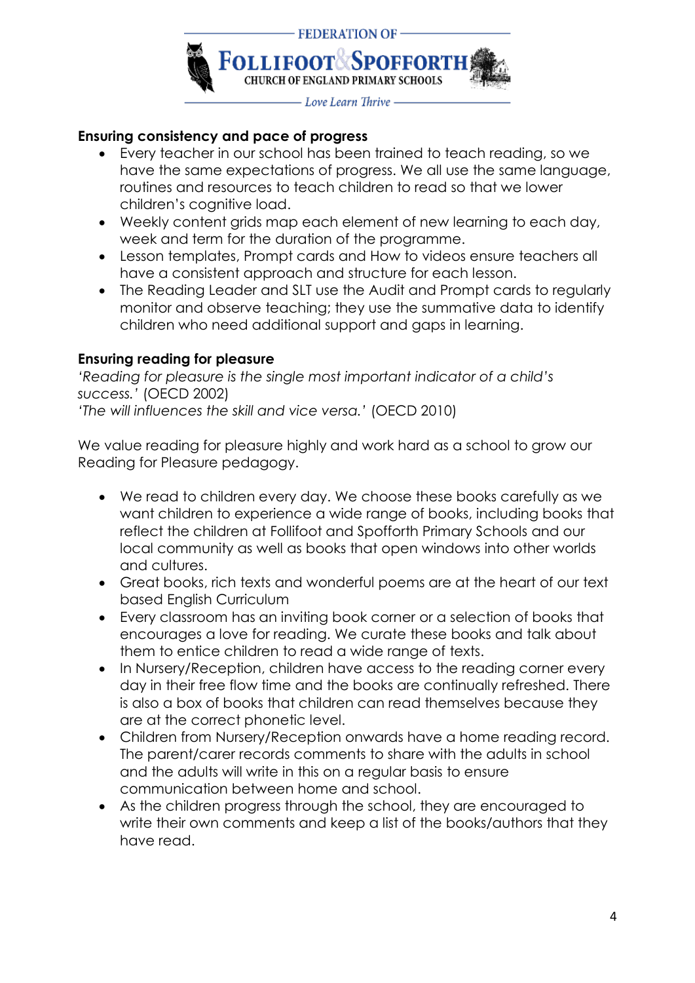

#### **Ensuring consistency and pace of progress**

- Every teacher in our school has been trained to teach reading, so we have the same expectations of progress. We all use the same language, routines and resources to teach children to read so that we lower children's cognitive load.
- Weekly content grids map each element of new learning to each day, week and term for the duration of the programme.
- Lesson templates, Prompt cards and How to videos ensure teachers all have a consistent approach and structure for each lesson.
- The Reading Leader and SLT use the Audit and Prompt cards to regularly monitor and observe teaching; they use the summative data to identify children who need additional support and gaps in learning.

#### **Ensuring reading for pleasure**

*'Reading for pleasure is the single most important indicator of a child's success.'* (OECD 2002) *'The will influences the skill and vice versa.'* (OECD 2010)

We value reading for pleasure highly and work hard as a school to grow our Reading for Pleasure pedagogy.

- We read to children every day. We choose these books carefully as we want children to experience a wide range of books, including books that reflect the children at Follifoot and Spofforth Primary Schools and our local community as well as books that open windows into other worlds and cultures.
- Great books, rich texts and wonderful poems are at the heart of our text based English Curriculum
- Every classroom has an inviting book corner or a selection of books that encourages a love for reading. We curate these books and talk about them to entice children to read a wide range of texts.
- In Nursery/Reception, children have access to the reading corner every day in their free flow time and the books are continually refreshed. There is also a box of books that children can read themselves because they are at the correct phonetic level.
- Children from Nursery/Reception onwards have a home reading record. The parent/carer records comments to share with the adults in school and the adults will write in this on a regular basis to ensure communication between home and school.
- As the children progress through the school, they are encouraged to write their own comments and keep a list of the books/authors that they have read.